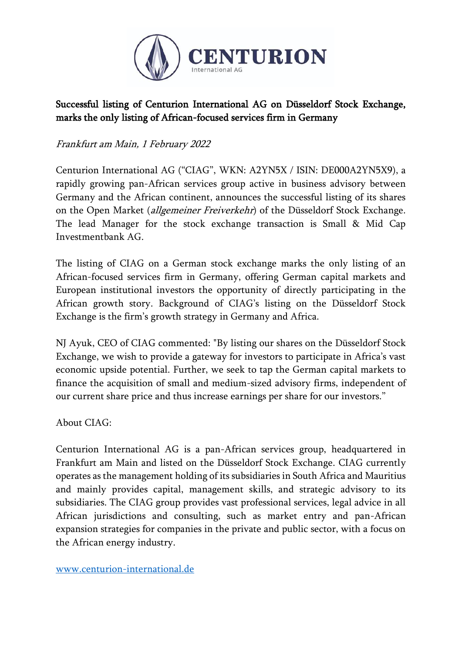

## Successful listing of Centurion International AG on Düsseldorf Stock Exchange, marks the only listing of African-focused services firm in Germany

Frankfurt am Main, 1 February 2022

Centurion International AG ("CIAG", WKN: A2YN5X / ISIN: DE000A2YN5X9), a rapidly growing pan-African services group active in business advisory between Germany and the African continent, announces the successful listing of its shares on the Open Market (*allgemeiner Freiverkehr*) of the Düsseldorf Stock Exchange. The lead Manager for the stock exchange transaction is Small & Mid Cap Investmentbank AG.

The listing of CIAG on a German stock exchange marks the only listing of an African-focused services firm in Germany, offering German capital markets and European institutional investors the opportunity of directly participating in the African growth story. Background of CIAG's listing on the Düsseldorf Stock Exchange is the firm's growth strategy in Germany and Africa.

NJ Ayuk, CEO of CIAG commented: "By listing our shares on the Düsseldorf Stock Exchange, we wish to provide a gateway for investors to participate in Africa's vast economic upside potential. Further, we seek to tap the German capital markets to finance the acquisition of small and medium-sized advisory firms, independent of our current share price and thus increase earnings per share for our investors."

About CIAG:

Centurion International AG is a pan-African services group, headquartered in Frankfurt am Main and listed on the Düsseldorf Stock Exchange. CIAG currently operates as the management holding of its subsidiaries in South Africa and Mauritius and mainly provides capital, management skills, and strategic advisory to its subsidiaries. The CIAG group provides vast professional services, legal advice in all African jurisdictions and consulting, such as market entry and pan-African expansion strategies for companies in the private and public sector, with a focus on the African energy industry.

[www.centurion-international.de](http://www.centurion-international.de/)